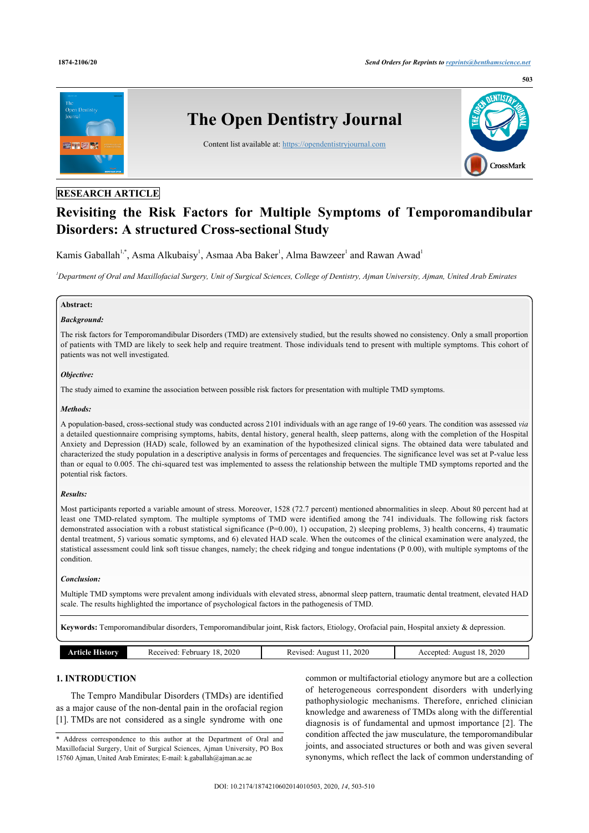

# **RESEARCH ARTICLE**

# **Revisiting the Risk Factors for Multiple Symptoms of Temporomandibular Disorders: A structured Cross-sectional Study**

Kamis Gaballah<sup>1,\*</sup>, Asma Alkubaisy<sup>1</sup>, Asmaa Aba Baker<sup>1</sup>, Alma Bawzeer<sup>1</sup> and Rawan Awad<sup>1</sup>

*<sup>1</sup>Department of Oral and Maxillofacial Surgery, Unit of Surgical Sciences, College of Dentistry, Ajman University, Ajman, United Arab Emirates*

### **Abstract:**

### *Background:*

The risk factors for Temporomandibular Disorders (TMD) are extensively studied, but the results showed no consistency. Only a small proportion of patients with TMD are likely to seek help and require treatment. Those individuals tend to present with multiple symptoms. This cohort of patients was not well investigated.

#### *Objective:*

The study aimed to examine the association between possible risk factors for presentation with multiple TMD symptoms.

#### *Methods:*

A population-based, cross-sectional study was conducted across 2101 individuals with an age range of 19-60 years. The condition was assessed *via* a detailed questionnaire comprising symptoms, habits, dental history, general health, sleep patterns, along with the completion of the Hospital Anxiety and Depression (HAD) scale, followed by an examination of the hypothesized clinical signs. The obtained data were tabulated and characterized the study population in a descriptive analysis in forms of percentages and frequencies. The significance level was set at P-value less than or equal to 0.005. The chi-squared test was implemented to assess the relationship between the multiple TMD symptoms reported and the potential risk factors.

#### *Results:*

Most participants reported a variable amount of stress. Moreover, 1528 (72.7 percent) mentioned abnormalities in sleep. About 80 percent had at least one TMD-related symptom. The multiple symptoms of TMD were identified among the 741 individuals. The following risk factors demonstrated association with a robust statistical significance (P=0.00), 1) occupation, 2) sleeping problems, 3) health concerns, 4) traumatic dental treatment, 5) various somatic symptoms, and 6) elevated HAD scale. When the outcomes of the clinical examination were analyzed, the statistical assessment could link soft tissue changes, namely; the cheek ridging and tongue indentations (P 0.00), with multiple symptoms of the condition.

#### *Conclusion:*

Multiple TMD symptoms were prevalent among individuals with elevated stress, abnormal sleep pattern, traumatic dental treatment, elevated HAD scale. The results highlighted the importance of psychological factors in the pathogenesis of TMD.

**Keywords:** Temporomandibular disorders, Temporomandibular joint, Risk factors, Etiology, Orofacial pain, Hospital anxiety & depression.

| <b>Article History</b> | Received: February 18, 2020 | Revised: August 11, 2020 | Accepted: August 18, 2020 |
|------------------------|-----------------------------|--------------------------|---------------------------|

## **1. INTRODUCTION**

The Tempro Mandibular Disorders (TMDs) are identified as a major cause of the non-dental pain in the orofacial region [1]. TMDs are not considered as a single syndrome with one

common or multifactorial etiology anymore but are a collection of heterogeneous correspondent disorders with underlying pathophysiologic mechanisms. Therefore, enriched clinician knowledge and awareness of TMDs along with the differential diagnosis is of fundamental and upmost importance [2]. The condition affected the jaw musculature, the temporomandibular joints, and associated structures or both and was given several synonyms, which reflect the lack of common understanding of

<sup>\*</sup> Address correspondence to this author at the Department of Oral and Maxillofacial Surgery, Unit of Surgical Sciences, Ajman University, PO Box 15760 Ajman, United Arab Emirates; E-mail: k.gaballah@ajman.ac.ae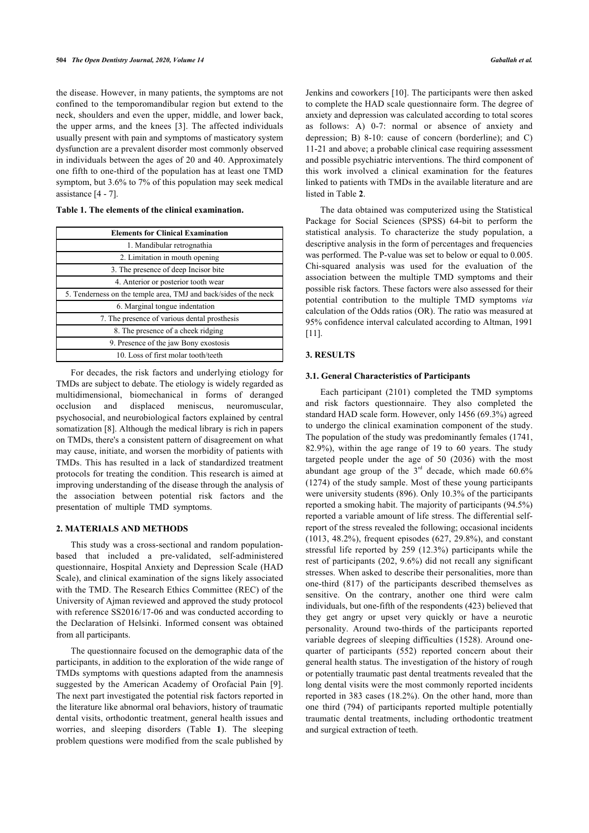the disease. However, in many patients, the symptoms are not confined to the temporomandibular region but extend to the neck, shoulders and even the upper, middle, and lower back, the upper arms, and the knees [3]. The affected individuals usually present with pain and symptoms of masticatory system dysfunction are a prevalent disorder most commonly observed in individuals between the ages of 20 and 40. Approximately one fifth to one-third of the population has at least one TMD symptom, but 3.6% to 7% of this population may seek medical assistance [4 - 7].

**Table 1. The elements of the clinical examination.**

| <b>Elements for Clinical Examination</b>                         |  |  |  |  |  |  |
|------------------------------------------------------------------|--|--|--|--|--|--|
| 1. Mandibular retrognathia                                       |  |  |  |  |  |  |
| 2. Limitation in mouth opening                                   |  |  |  |  |  |  |
| 3. The presence of deep Incisor bite                             |  |  |  |  |  |  |
| 4. Anterior or posterior tooth wear                              |  |  |  |  |  |  |
| 5. Tenderness on the temple area, TMJ and back/sides of the neck |  |  |  |  |  |  |
| 6. Marginal tongue indentation                                   |  |  |  |  |  |  |
| 7. The presence of various dental prosthesis                     |  |  |  |  |  |  |
| 8. The presence of a cheek ridging                               |  |  |  |  |  |  |
| 9. Presence of the jaw Bony exostosis                            |  |  |  |  |  |  |
| 10. Loss of first molar tooth/teeth                              |  |  |  |  |  |  |

For decades, the risk factors and underlying etiology for TMDs are subject to debate. The etiology is widely regarded as multidimensional, biomechanical in forms of deranged occlusion and displaced meniscus, neuromuscular, psychosocial, and neurobiological factors explained by central somatization [8]. Although the medical library is rich in papers on TMDs, there's a consistent pattern of disagreement on what may cause, initiate, and worsen the morbidity of patients with TMDs. This has resulted in a lack of standardized treatment protocols for treating the condition. This research is aimed at improving understanding of the disease through the analysis of the association between potential risk factors and the presentation of multiple TMD symptoms.

### **2. MATERIALS AND METHODS**

This study was a cross-sectional and random populationbased that included a pre-validated, self-administered questionnaire, Hospital Anxiety and Depression Scale (HAD Scale), and clinical examination of the signs likely associated with the TMD. The Research Ethics Committee (REC) of the University of Ajman reviewed and approved the study protocol with reference SS2016/17-06 and was conducted according to the Declaration of Helsinki. Informed consent was obtained from all participants.

The questionnaire focused on the demographic data of the participants, in addition to the exploration of the wide range of TMDs symptoms with questions adapted from the anamnesis suggested by the American Academy of Orofacial Pain [9]. The next part investigated the potential risk factors reported in the literature like abnormal oral behaviors, history of traumatic dental visits, orthodontic treatment, general health issues and worries, and sleeping disorders (Table **1**). The sleeping problem questions were modified from the scale published by

Jenkins and coworkers [10]. The participants were then asked to complete the HAD scale questionnaire form. The degree of anxiety and depression was calculated according to total scores as follows: A) 0-7: normal or absence of anxiety and depression; B) 8-10: cause of concern (borderline); and C) 11-21 and above; a probable clinical case requiring assessment and possible psychiatric interventions. The third component of this work involved a clinical examination for the features linked to patients with TMDs in the available literature and are listed in Table **2**.

The data obtained was computerized using the Statistical Package for Social Sciences (SPSS) 64-bit to perform the statistical analysis. To characterize the study population, a descriptive analysis in the form of percentages and frequencies was performed. The P-value was set to below or equal to 0.005. Chi-squared analysis was used for the evaluation of the association between the multiple TMD symptoms and their possible risk factors. These factors were also assessed for their potential contribution to the multiple TMD symptoms *via* calculation of the Odds ratios (OR). The ratio was measured at 95% confidence interval calculated according to Altman, 1991 [11].

### **3. RESULTS**

#### **3.1. General Characteristics of Participants**

Each participant (2101) completed the TMD symptoms and risk factors questionnaire. They also completed the standard HAD scale form. However, only 1456 (69.3%) agreed to undergo the clinical examination component of the study. The population of the study was predominantly females (1741, 82.9%), within the age range of 19 to 60 years. The study targeted people under the age of 50 (2036) with the most abundant age group of the  $3<sup>rd</sup>$  decade, which made 60.6% (1274) of the study sample. Most of these young participants were university students (896). Only 10.3% of the participants reported a smoking habit. The majority of participants (94.5%) reported a variable amount of life stress. The differential selfreport of the stress revealed the following; occasional incidents (1013, 48.2%), frequent episodes (627, 29.8%), and constant stressful life reported by 259 (12.3%) participants while the rest of participants (202, 9.6%) did not recall any significant stresses. When asked to describe their personalities, more than one-third (817) of the participants described themselves as sensitive. On the contrary, another one third were calm individuals, but one-fifth of the respondents (423) believed that they get angry or upset very quickly or have a neurotic personality. Around two-thirds of the participants reported variable degrees of sleeping difficulties (1528). Around onequarter of participants (552) reported concern about their general health status. The investigation of the history of rough or potentially traumatic past dental treatments revealed that the long dental visits were the most commonly reported incidents reported in 383 cases (18.2%). On the other hand, more than one third (794) of participants reported multiple potentially traumatic dental treatments, including orthodontic treatment and surgical extraction of teeth.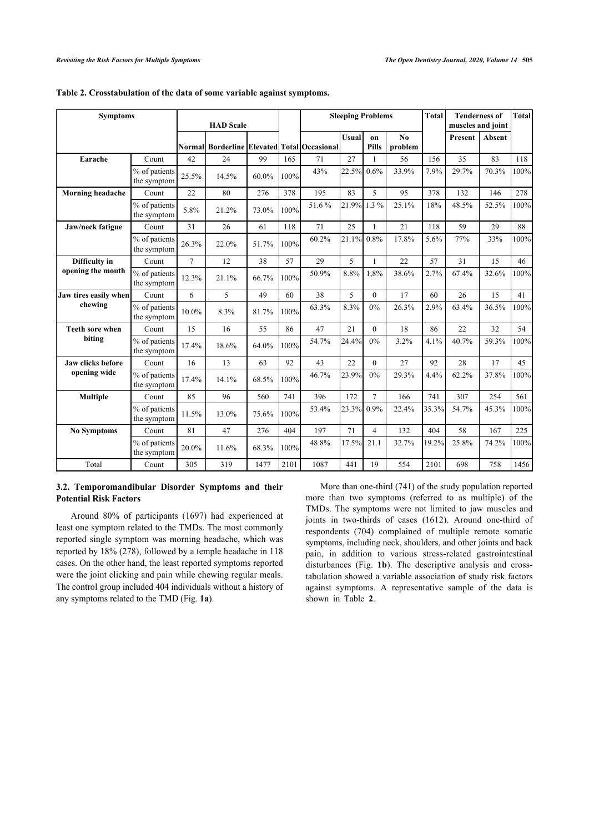| <b>Symptoms</b>          |                              | <b>HAD</b> Scale |                                             |       | <b>Sleeping Problems</b> |       |              | <b>Total</b>       | <b>Tenderness of</b><br>muscles and joint |       | <b>Total</b> |               |      |
|--------------------------|------------------------------|------------------|---------------------------------------------|-------|--------------------------|-------|--------------|--------------------|-------------------------------------------|-------|--------------|---------------|------|
|                          |                              |                  | Normal Borderline Elevated Total Occasional |       |                          |       | <b>Usual</b> | on<br><b>Pills</b> | N <sub>0</sub><br>problem                 |       | Present      | <b>Absent</b> |      |
| Earache                  | Count                        | 42               | 24                                          | 99    | 165                      | 71    | 27           | 1                  | 56                                        | 156   | 35           | 83            | 118  |
|                          | % of patients<br>the symptom | 25.5%            | 14.5%                                       | 60.0% | 100%                     | 43%   | 22.5%        | 0.6%               | 33.9%                                     | 7.9%  | 29.7%        | 70.3%         | 100% |
| <b>Morning headache</b>  | Count                        | 22               | 80                                          | 276   | 378                      | 195   | 83           | 5                  | 95                                        | 378   | 132          | 146           | 278  |
|                          | % of patients<br>the symptom | 5.8%             | 21.2%                                       | 73.0% | 100%                     | 51.6% | 21.9%        | $1.3\%$            | 25.1%                                     | 18%   | 48.5%        | 52.5%         | 100% |
| Jaw/neck fatigue         | Count                        | 31               | 26                                          | 61    | 118                      | 71    | 25           | 1                  | 21                                        | 118   | 59           | 29            | 88   |
|                          | % of patients<br>the symptom | 26.3%            | 22.0%                                       | 51.7% | 100%                     | 60.2% | 21.1%        | 0.8%               | 17.8%                                     | 5.6%  | 77%          | 33%           | 100% |
| Difficulty in            | Count                        | $\overline{7}$   | 12                                          | 38    | 57                       | 29    | 5            | 1                  | 22                                        | 57    | 31           | 15            | 46   |
| opening the mouth        | % of patients<br>the symptom | 12.3%            | 21.1%                                       | 66.7% | 100%                     | 50.9% | 8.8%         | 1,8%               | 38.6%                                     | 2.7%  | 67.4%        | 32.6%         | 100% |
| Jaw tires easily when    | Count                        | 6                | 5                                           | 49    | 60                       | 38    | 5            | $\mathbf{0}$       | 17                                        | 60    | 26           | 15            | 41   |
| chewing                  | % of patients<br>the symptom | 10.0%            | 8.3%                                        | 81.7% | 100%                     | 63.3% | 8.3%         | 0%                 | 26.3%                                     | 2.9%  | 63.4%        | 36.5%         | 100% |
| <b>Teeth sore when</b>   | Count                        | 15               | 16                                          | 55    | 86                       | 47    | 21           | $\theta$           | 18                                        | 86    | 22           | 32            | 54   |
| biting                   | % of patients<br>the symptom | 17.4%            | 18.6%                                       | 64.0% | 100%                     | 54.7% | 24.4%        | 0%                 | 3.2%                                      | 4.1%  | 40.7%        | 59.3%         | 100% |
| <b>Jaw clicks before</b> | Count                        | 16               | 13                                          | 63    | 92                       | 43    | 22           | $\mathbf{0}$       | 27                                        | 92    | 28           | 17            | 45   |
| opening wide             | % of patients<br>the symptom | 17.4%            | 14.1%                                       | 68.5% | 100%                     | 46.7% | 23.9%        | 0%                 | 29.3%                                     | 4.4%  | 62.2%        | 37.8%         | 100% |
| <b>Multiple</b>          | Count                        | 85               | 96                                          | 560   | 741                      | 396   | 172          | $\tau$             | 166                                       | 741   | 307          | 254           | 561  |
|                          | % of patients<br>the symptom | 11.5%            | 13.0%                                       | 75.6% | 100%                     | 53.4% | 23.3%        | 0.9%               | 22.4%                                     | 35.3% | 54.7%        | 45.3%         | 100% |
| <b>No Symptoms</b>       | Count                        | 81               | 47                                          | 276   | 404                      | 197   | 71           | $\overline{4}$     | 132                                       | 404   | 58           | 167           | 225  |
|                          | % of patients<br>the symptom | 20.0%            | 11.6%                                       | 68.3% | 100%                     | 48.8% | 17.5%        | 21.1               | 32.7%                                     | 19.2% | 25.8%        | 74.2%         | 100% |
| Total                    | Count                        | 305              | 319                                         | 1477  | 2101                     | 1087  | 441          | 19                 | 554                                       | 2101  | 698          | 758           | 1456 |

### **Table 2. Crosstabulation of the data of some variable against symptoms.**

### **3.2. Temporomandibular Disorder Symptoms and their Potential Risk Factors**

Around 80% of participants (1697) had experienced at least one symptom related to the TMDs. The most commonly reported single symptom was morning headache, which was reported by 18% (278), followed by a temple headache in 118 cases. On the other hand, the least reported symptoms reported were the joint clicking and pain while chewing regular meals. The control group included 404 individuals without a history of any symptoms related to the TMD (Fig. **1a**).

More than one-third (741) of the study population reported more than two symptoms (referred to as multiple) of the TMDs. The symptoms were not limited to jaw muscles and joints in two-thirds of cases (1612). Around one-third of respondents (704) complained of multiple remote somatic symptoms, including neck, shoulders, and other joints and back pain, in addition to various stress-related gastrointestinal disturbances (Fig. **1b**). The descriptive analysis and crosstabulation showed a variable association of study risk factors against symptoms. A representative sample of the data is shown in Table **2**.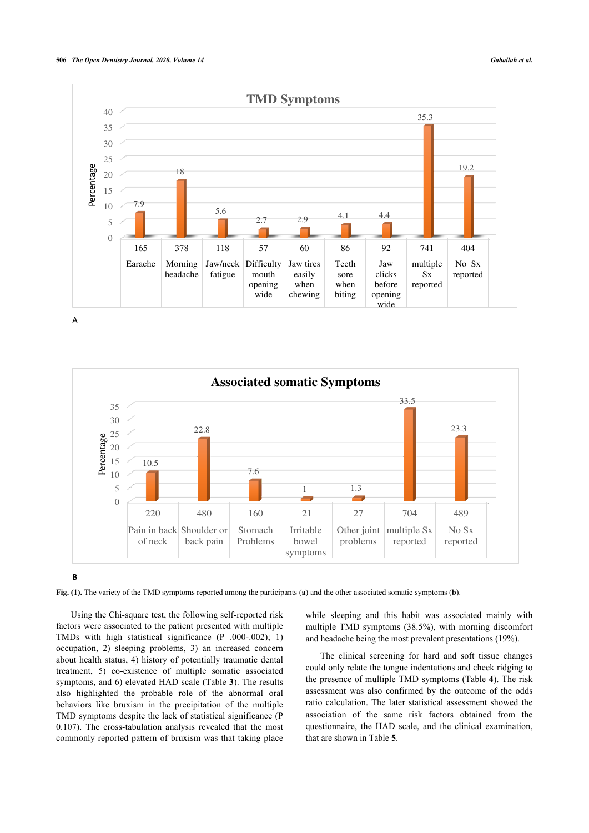

A



**Fig. (1).** The variety of the TMD symptoms reported among the participants (**a**) and the other associated somatic symptoms (**b**).

Using the Chi-square test, the following self-reported risk factors were associated to the patient presented with multiple TMDs with high statistical significance (P .000-.002); 1) occupation, 2) sleeping problems, 3) an increased concern about health status, 4) history of potentially traumatic dental treatment, 5) co-existence of multiple somatic associated symptoms, and 6) elevated HAD scale (Table **3**). The results also highlighted the probable role of the abnormal oral behaviors like bruxism in the precipitation of the multiple TMD symptoms despite the lack of statistical significance (P 0.107). The cross-tabulation analysis revealed that the most commonly reported pattern of bruxism was that taking place

while sleeping and this habit was associated mainly with multiple TMD symptoms (38.5%), with morning discomfort and headache being the most prevalent presentations (19%).

The clinical screening for hard and soft tissue changes could only relate the tongue indentations and cheek ridging to the presence of multiple TMD symptoms (Table **4**). The risk assessment was also confirmed by the outcome of the odds ratio calculation. The later statistical assessment showed the association of the same risk factors obtained from the questionnaire, the HAD scale, and the clinical examination, that are shown in Table **5**.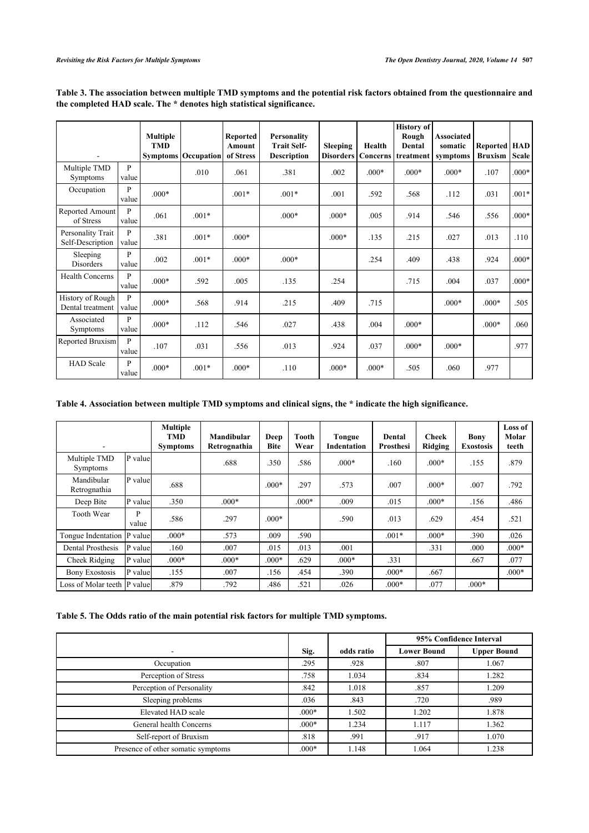|                                       |            | <b>Multiple</b><br><b>TMD</b> | <b>Symptoms</b> Occupation | <b>Reported</b><br>Amount<br>of Stress | <b>Personality</b><br><b>Trait Self-</b><br><b>Description</b> | <b>Sleeping</b><br><b>Disorders</b> | Health<br><b>Concerns</b> | <b>History</b> of<br>Rough<br>Dental<br>treatment | <b>Associated</b><br>somatic<br>symptoms | Reported<br><b>Bruxism</b> | <b>HAD</b><br><b>Scale</b> |
|---------------------------------------|------------|-------------------------------|----------------------------|----------------------------------------|----------------------------------------------------------------|-------------------------------------|---------------------------|---------------------------------------------------|------------------------------------------|----------------------------|----------------------------|
| Multiple TMD<br>Symptoms              | P<br>value |                               | .010                       | .061                                   | .381                                                           | .002                                | $.000*$                   | $.000*$                                           | $.000*$                                  | .107                       | $.000*$                    |
| Occupation                            | P<br>value | $.000*$                       |                            | $.001*$                                | $.001*$                                                        | .001                                | .592                      | .568                                              | .112                                     | .031                       | $.001*$                    |
| Reported Amount<br>of Stress          | P<br>value | .061                          | $.001*$                    |                                        | $.000*$                                                        | $.000*$                             | .005                      | .914                                              | .546                                     | .556                       | $.000*$                    |
| Personality Trait<br>Self-Description | P<br>value | .381                          | $.001*$                    | $.000*$                                |                                                                | $.000*$                             | .135                      | .215                                              | .027                                     | .013                       | .110                       |
| Sleeping<br>Disorders                 | P<br>value | .002                          | $.001*$                    | $.000*$                                | $.000*$                                                        |                                     | .254                      | .409                                              | .438                                     | .924                       | $.000*$                    |
| <b>Health Concerns</b>                | P<br>value | $.000*$                       | .592                       | .005                                   | .135                                                           | .254                                |                           | .715                                              | .004                                     | .037                       | $.000*$                    |
| History of Rough<br>Dental treatment  | P<br>value | $.000*$                       | .568                       | .914                                   | .215                                                           | .409                                | .715                      |                                                   | $.000*$                                  | $.000*$                    | .505                       |
| Associated<br>Symptoms                | P<br>value | $.000*$                       | .112                       | .546                                   | .027                                                           | .438                                | .004                      | $.000*$                                           |                                          | $.000*$                    | .060                       |
| Reported Bruxism                      | P<br>value | .107                          | .031                       | .556                                   | .013                                                           | .924                                | .037                      | $.000*$                                           | $.000*$                                  |                            | .977                       |
| <b>HAD</b> Scale                      | P<br>value | $.000*$                       | $.001*$                    | $.000*$                                | .110                                                           | $.000*$                             | $.000*$                   | .505                                              | .060                                     | .977                       |                            |

**Table 3. The association between multiple TMD symptoms and the potential risk factors obtained from the questionnaire and the completed HAD scale. The \* denotes high statistical significance.**

### **Table 4. Association between multiple TMD symptoms and clinical signs, the \* indicate the high significance.**

|                                 |            | <b>Multiple</b><br>TMD<br><b>Symptoms</b> | Mandibular<br>Retrognathia | Deep<br><b>Bite</b> | Tooth<br>Wear | <b>Tongue</b><br>Indentation | Dental<br><b>Prosthesi</b> | <b>Cheek</b><br>Ridging | Bony<br><b>Exostosis</b> | Loss of<br>Molar<br>teeth |
|---------------------------------|------------|-------------------------------------------|----------------------------|---------------------|---------------|------------------------------|----------------------------|-------------------------|--------------------------|---------------------------|
| Multiple TMD<br><b>Symptoms</b> | P value    |                                           | .688                       | .350                | .586          | $.000*$                      | .160                       | $.000*$                 | .155                     | .879                      |
| Mandibular<br>Retrognathia      | P value    | .688                                      |                            | $.000*$             | .297          | .573                         | .007                       | $.000*$                 | .007                     | .792                      |
| Deep Bite                       | P value    | .350                                      | $.000*$                    |                     | $.000*$       | .009                         | .015                       | $.000*$                 | .156                     | .486                      |
| <b>Tooth Wear</b>               | P<br>value | .586                                      | .297                       | $.000*$             |               | .590                         | .013                       | .629                    | .454                     | .521                      |
| Tongue Indentation  P value     |            | $.000*$                                   | .573                       | .009                | .590          |                              | $.001*$                    | $.000*$                 | .390                     | .026                      |
| Dental Prosthesis               | P valuel   | .160                                      | .007                       | .015                | .013          | .001                         |                            | .331                    | .000                     | $.000*$                   |
| Cheek Ridging                   | P value    | $.000*$                                   | $.000*$                    | $.000*$             | .629          | $.000*$                      | .331                       |                         | .667                     | .077                      |
| <b>Bony Exostosis</b>           | P value    | .155                                      | .007                       | .156                | .454          | .390                         | $.000*$                    | .667                    |                          | $.000*$                   |
| Loss of Molar teeth IP value    |            | .879                                      | .792                       | .486                | .521          | .026                         | $.000*$                    | .077                    | $.000*$                  |                           |

### **Table 5. The Odds ratio of the main potential risk factors for multiple TMD symptoms.**

|                                    |         |            | 95% Confidence Interval |                    |  |
|------------------------------------|---------|------------|-------------------------|--------------------|--|
|                                    | Sig.    | odds ratio | <b>Lower Bound</b>      | <b>Upper Bound</b> |  |
| Occupation                         | .295    | .928       | .807                    | 1.067              |  |
| Perception of Stress               | .758    | 1.034      | .834                    | 1.282              |  |
| Perception of Personality          | .842    | 1.018      | .857                    | 1.209              |  |
| Sleeping problems                  | .036    | .843       | .720                    | .989               |  |
| Elevated HAD scale                 | $.000*$ | 1.502      | 1.202                   | 1.878              |  |
| General health Concerns            | $.000*$ | 1.234      | 1.117                   | 1.362              |  |
| Self-report of Bruxism             | .818    | .991       | .917                    | 1.070              |  |
| Presence of other somatic symptoms | $.000*$ | 1.148      | 1.064                   | 1.238              |  |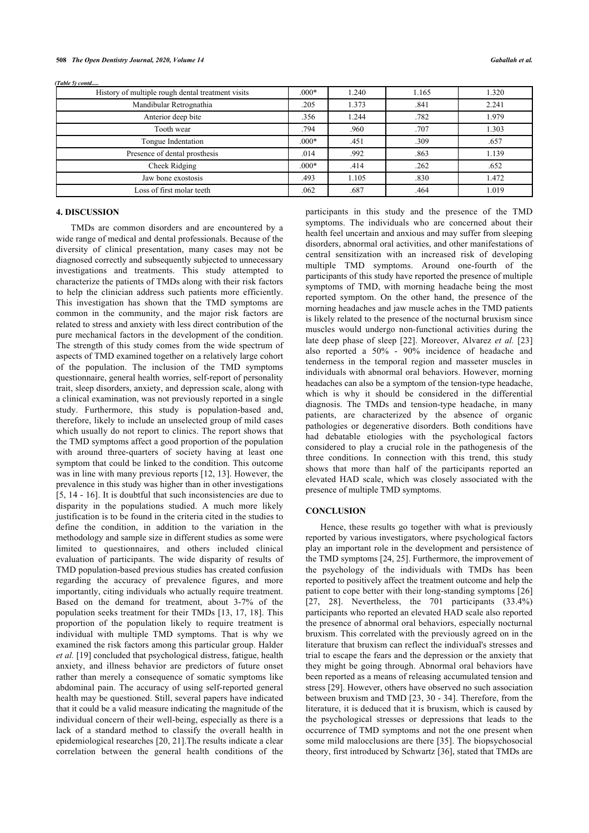| History of multiple rough dental treatment visits | $.000*$ | 1.240 | 1.165 | 1.320 |
|---------------------------------------------------|---------|-------|-------|-------|
| Mandibular Retrognathia                           | .205    | 1.373 | .841  | 2.241 |
| Anterior deep bite                                | .356    | 1.244 | .782  | 1.979 |
| Tooth wear                                        | .794    | .960  | .707  | 1.303 |
| Tongue Indentation                                | $.000*$ | .451  | .309  | .657  |
| Presence of dental prosthesis                     | .014    | .992  | .863  | 1.139 |
| Cheek Ridging                                     | $.000*$ | .414  | .262  | .652  |
| Jaw bone exostosis                                | .493    | 1.105 | .830  | 1.472 |
| Loss of first molar teeth                         | .062    | .687  | .464  | 1.019 |

### **4. DISCUSSION**

*(Table 5) contd.....*

TMDs are common disorders and are encountered by a wide range of medical and dental professionals. Because of the diversity of clinical presentation, many cases may not be diagnosed correctly and subsequently subjected to unnecessary investigations and treatments. This study attempted to characterize the patients of TMDs along with their risk factors to help the clinician address such patients more efficiently. This investigation has shown that the TMD symptoms are common in the community, and the major risk factors are related to stress and anxiety with less direct contribution of the pure mechanical factors in the development of the condition. The strength of this study comes from the wide spectrum of aspects of TMD examined together on a relatively large cohort of the population. The inclusion of the TMD symptoms questionnaire, general health worries, self-report of personality trait, sleep disorders, anxiety, and depression scale, along with a clinical examination, was not previously reported in a single study. Furthermore, this study is population-based and, therefore, likely to include an unselected group of mild cases which usually do not report to clinics. The report shows that the TMD symptoms affect a good proportion of the population with around three-quarters of society having at least one symptom that could be linked to the condition. This outcome was in line with many previous reports [12, 13]. However, the prevalence in this study was higher than in other investigations [5, 14 - 16]. It is doubtful that such inconsistencies are due to disparity in the populations studied. A much more likely justification is to be found in the criteria cited in the studies to define the condition, in addition to the variation in the methodology and sample size in different studies as some were limited to questionnaires, and others included clinical evaluation of participants. The wide disparity of results of TMD population-based previous studies has created confusion regarding the accuracy of prevalence figures, and more importantly, citing individuals who actually require treatment. Based on the demand for treatment, about 3-7% of the population seeks treatment for their TMDs [13, 17, 18]. This proportion of the population likely to require treatment is individual with multiple TMD symptoms. That is why we examined the risk factors among this particular group. Halder *et al.* [19] concluded that psychological distress, fatigue, health anxiety, and illness behavior are predictors of future onset rather than merely a consequence of somatic symptoms like abdominal pain. The accuracy of using self-reported general health may be questioned. Still, several papers have indicated that it could be a valid measure indicating the magnitude of the individual concern of their well-being, especially as there is a lack of a standard method to classify the overall health in epidemiological researches [20, 21].The results indicate a clear correlation between the general health conditions of the

participants in this study and the presence of the TMD symptoms. The individuals who are concerned about their health feel uncertain and anxious and may suffer from sleeping disorders, abnormal oral activities, and other manifestations of central sensitization with an increased risk of developing multiple TMD symptoms. Around one-fourth of the participants of this study have reported the presence of multiple symptoms of TMD, with morning headache being the most reported symptom. On the other hand, the presence of the morning headaches and jaw muscle aches in the TMD patients is likely related to the presence of the nocturnal bruxism since muscles would undergo non-functional activities during the late deep phase of sleep [22]. Moreover, Alvarez *et al.* [23] also reported a 50% - 90% incidence of headache and tenderness in the temporal region and masseter muscles in individuals with abnormal oral behaviors. However, morning headaches can also be a symptom of the tension-type headache, which is why it should be considered in the differential diagnosis. The TMDs and tension-type headache, in many patients, are characterized by the absence of organic pathologies or degenerative disorders. Both conditions have had debatable etiologies with the psychological factors considered to play a crucial role in the pathogenesis of the three conditions. In connection with this trend, this study shows that more than half of the participants reported an elevated HAD scale, which was closely associated with the presence of multiple TMD symptoms.

### **CONCLUSION**

Hence, these results go together with what is previously reported by various investigators, where psychological factors play an important role in the development and persistence of the TMD symptoms [24, 25]. Furthermore, the improvement of the psychology of the individuals with TMDs has been reported to positively affect the treatment outcome and help the patient to cope better with their long-standing symptoms [26] [27, 28]. Nevertheless, the 701 participants (33.4%) participants who reported an elevated HAD scale also reported the presence of abnormal oral behaviors, especially nocturnal bruxism. This correlated with the previously agreed on in the literature that bruxism can reflect the individual's stresses and trial to escape the fears and the depression or the anxiety that they might be going through. Abnormal oral behaviors have been reported as a means of releasing accumulated tension and stress [29]. However, others have observed no such association between bruxism and TMD [23, 30 - 34]. Therefore, from the literature, it is deduced that it is bruxism, which is caused by the psychological stresses or depressions that leads to the occurrence of TMD symptoms and not the one present when some mild malocclusions are there [35]. The biopsychosocial theory, first introduced by Schwartz [36], stated that TMDs are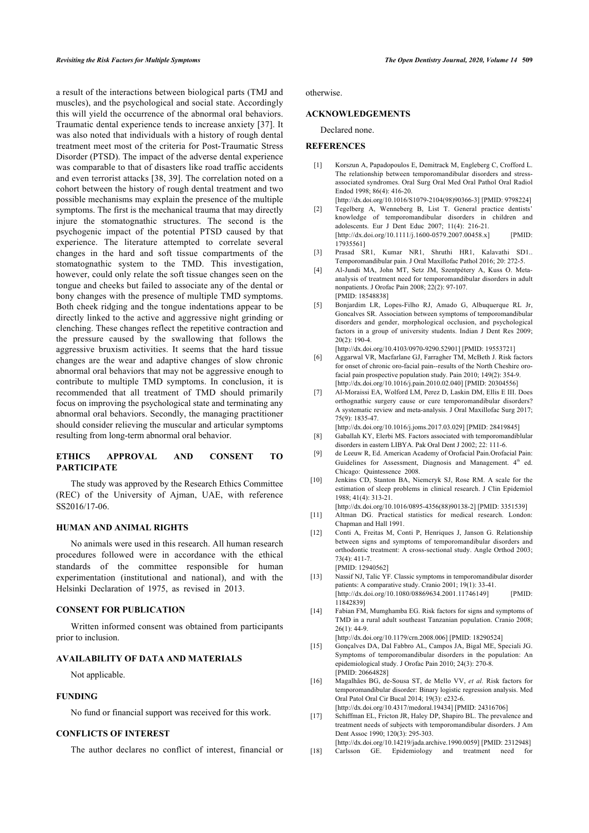a result of the interactions between biological parts (TMJ and muscles), and the psychological and social state. Accordingly this will yield the occurrence of the abnormal oral behaviors. Traumatic dental experience tends to increase anxiety [37]. It was also noted that individuals with a history of rough dental treatment meet most of the criteria for Post-Traumatic Stress Disorder (PTSD). The impact of the adverse dental experience was comparable to that of disasters like road traffic accidents and even terrorist attacks [38, 39]. The correlation noted on a cohort between the history of rough dental treatment and two possible mechanisms may explain the presence of the multiple symptoms. The first is the mechanical trauma that may directly injure the stomatognathic structures. The second is the psychogenic impact of the potential PTSD caused by that experience. The literature attempted to correlate several changes in the hard and soft tissue compartments of the stomatognathic system to the TMD. This investigation, however, could only relate the soft tissue changes seen on the tongue and cheeks but failed to associate any of the dental or bony changes with the presence of multiple TMD symptoms. Both cheek ridging and the tongue indentations appear to be directly linked to the active and aggressive night grinding or clenching. These changes reflect the repetitive contraction and the pressure caused by the swallowing that follows the aggressive bruxism activities. It seems that the hard tissue changes are the wear and adaptive changes of slow chronic abnormal oral behaviors that may not be aggressive enough to contribute to multiple TMD symptoms. In conclusion, it is recommended that all treatment of TMD should primarily focus on improving the psychological state and terminating any abnormal oral behaviors. Secondly, the managing practitioner should consider relieving the muscular and articular symptoms resulting from long-term abnormal oral behavior.

### **ETHICS APPROVAL AND CONSENT TO PARTICIPATE**

The study was approved by the Research Ethics Committee (REC) of the University of Ajman, UAE, with reference SS2016/17-06.

### **HUMAN AND ANIMAL RIGHTS**

No animals were used in this research. All human research procedures followed were in accordance with the ethical standards of the committee responsible for human experimentation (institutional and national), and with the Helsinki Declaration of 1975, as revised in 2013.

#### **CONSENT FOR PUBLICATION**

Written informed consent was obtained from participants prior to inclusion.

### **AVAILABILITY OF DATA AND MATERIALS**

Not applicable.

### **FUNDING**

No fund or financial support was received for this work.

### **CONFLICTS OF INTEREST**

The author declares no conflict of interest, financial or

otherwise.

### **ACKNOWLEDGEMENTS**

Declared none.

### **REFERENCES**

- [1] Korszun A, Papadopoulos E, Demitrack M, Engleberg C, Crofford L. The relationship between temporomandibular disorders and stressassociated syndromes. Oral Surg Oral Med Oral Pathol Oral Radiol Endod 1998; 86(4): 416-20.
- [http://dx.doi.org/10.1016/S1079-2104(98)90366-3] [PMID: 9798224] [2] Tegelberg A, Wenneberg B, List T. General practice dentists' knowledge of temporomandibular disorders in children and adolescents. Eur J Dent Educ 2007; 11(4): 216-21. [http://dx.doi.org/10.1111/j.1600-0579.2007.00458.x] [PMID: 17935561]
- [3] Prasad SR1, Kumar NR1, Shruthi HR1, Kalavathi SD1.. Temporomandibular pain. J Oral Maxillofac Pathol 2016; 20: 272-5.
- [4] Al-Jundi MA, John MT, Setz JM, Szentpétery A, Kuss O. Metaanalysis of treatment need for temporomandibular disorders in adult nonpatients. J Orofac Pain 2008; 22(2): 97-107. [PMID: 18548838]
- [5] Bonjardim LR, Lopes-Filho RJ, Amado G, Albuquerque RL Jr, Goncalves SR. Association between symptoms of temporomandibular disorders and gender, morphological occlusion, and psychological factors in a group of university students. Indian J Dent Res 2009; 20(2): 190-4. [http://dx.doi.org/10.4103/0970-9290.52901] [PMID: 19553721]
- [6] Aggarwal VR, Macfarlane GJ, Farragher TM, McBeth J. Risk factors for onset of chronic oro-facial pain--results of the North Cheshire orofacial pain prospective population study. Pain 2010; 149(2): 354-9. [http://dx.doi.org/10.1016/j.pain.2010.02.040] [PMID: 20304556]
- [7] Al-Moraissi EA, Wolford LM, Perez D, Laskin DM, Ellis E III. Does orthognathic surgery cause or cure temporomandibular disorders? A systematic review and meta-analysis. J Oral Maxillofac Surg 2017; 75(9): 1835-47.

[http://dx.doi.org/10.1016/j.joms.2017.03.029] [PMID: 28419845]

- [8] Gaballah KY, Elerbi MS. Factors associated with temporomandiblular disorders in eastern LIBYA. Pak Oral Dent J 2002; 22: 111-6.
- [9] de Leeuw R, Ed. American Academy of Orofacial Pain.Orofacial Pain: Guidelines for Assessment, Diagnosis and Management. 4<sup>th</sup> ed. Chicago: Quintessence 2008.
- [10] Jenkins CD, Stanton BA, Niemcryk SJ, Rose RM. A scale for the estimation of sleep problems in clinical research. J Clin Epidemiol 1988; 41(4): 313-21.
- [http://dx.doi.org/10.1016/0895-4356(88)90138-2] [PMID: 3351539] [11] Altman DG. Practical statistics for medical research. London:
- Chapman and Hall 1991. [12] Conti A, Freitas M, Conti P, Henriques J, Janson G. Relationship
- between signs and symptoms of temporomandibular disorders and orthodontic treatment: A cross-sectional study. Angle Orthod 2003; 73(4): 411-7. [PMID: 12940562]
- [13] Nassif NJ, Talic YF. Classic symptoms in temporomandibular disorder patients: A comparative study. Cranio 2001; 19(1): 33-41. [http://dx.doi.org/10.1080/08869634.2001.11746149] [PMID: 11842839]
- [14] Fabian FM, Mumghamba EG. Risk factors for signs and symptoms of TMD in a rural adult southeast Tanzanian population. Cranio 2008;  $26(1)$ : 44-9

[http://dx.doi.org/10.1179/crn.2008.006] [PMID: 18290524]

- [15] Gonçalves DA, Dal Fabbro AL, Campos JA, Bigal ME, Speciali JG. Symptoms of temporomandibular disorders in the population: An epidemiological study. J Orofac Pain 2010; 24(3): 270-8. [PMID: 20664828]
- [16] Magalhães BG, de-Sousa ST, de Mello VV, *et al.* Risk factors for temporomandibular disorder: Binary logistic regression analysis. Med Oral Patol Oral Cir Bucal 2014; 19(3): e232-6. [http://dx.doi.org/10.4317/medoral.19434] [PMID: 24316706]
- [17] Schiffman EL, Fricton JR, Haley DP, Shapiro BL. The prevalence and treatment needs of subjects with temporomandibular disorders. J Am
- Dent Assoc 1990; 120(3): 295-303. [http://dx.doi.org/10.14219/jada.archive.1990.0059] [PMID: 2312948]
- [18] Carlsson GE. Epidemiology and treatment need for